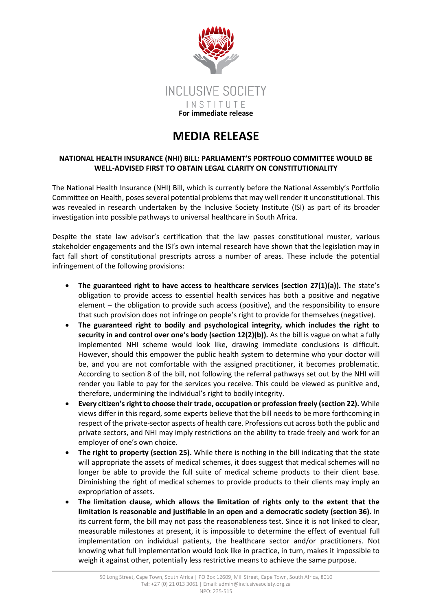

## **MEDIA RELEASE**

## **NATIONAL HEALTH INSURANCE (NHI) BILL: PARLIAMENT'S PORTFOLIO COMMITTEE WOULD BE WELL-ADVISED FIRST TO OBTAIN LEGAL CLARITY ON CONSTITUTIONALITY**

The National Health Insurance (NHI) Bill, which is currently before the National Assembly's Portfolio Committee on Health, poses several potential problems that may well render it unconstitutional. This was revealed in research undertaken by the Inclusive Society Institute (ISI) as part of its broader investigation into possible pathways to universal healthcare in South Africa.

Despite the state law advisor's certification that the law passes constitutional muster, various stakeholder engagements and the ISI's own internal research have shown that the legislation may in fact fall short of constitutional prescripts across a number of areas. These include the potential infringement of the following provisions:

- **The guaranteed right to have access to healthcare services (section 27(1)(a)).** The state's obligation to provide access to essential health services has both a positive and negative element – the obligation to provide such access (positive), and the responsibility to ensure that such provision does not infringe on people's right to provide for themselves (negative).
- **The guaranteed right to bodily and psychological integrity, which includes the right to security in and control over one's body (section 12(2)(b)).** As the bill is vague on what a fully implemented NHI scheme would look like, drawing immediate conclusions is difficult. However, should this empower the public health system to determine who your doctor will be, and you are not comfortable with the assigned practitioner, it becomes problematic. According to section 8 of the bill, not following the referral pathways set out by the NHI will render you liable to pay for the services you receive. This could be viewed as punitive and, therefore, undermining the individual's right to bodily integrity.
- **Every citizen's right to choose their trade, occupation or profession freely (section 22).** While views differ in this regard, some experts believe that the bill needs to be more forthcoming in respect of the private-sector aspects of health care. Professions cut across both the public and private sectors, and NHI may imply restrictions on the ability to trade freely and work for an employer of one's own choice.
- **The right to property (section 25).** While there is nothing in the bill indicating that the state will appropriate the assets of medical schemes, it does suggest that medical schemes will no longer be able to provide the full suite of medical scheme products to their client base. Diminishing the right of medical schemes to provide products to their clients may imply an expropriation of assets.
- **The limitation clause, which allows the limitation of rights only to the extent that the limitation is reasonable and justifiable in an open and a democratic society (section 36).** In its current form, the bill may not pass the reasonableness test. Since it is not linked to clear, measurable milestones at present, it is impossible to determine the effect of eventual full implementation on individual patients, the healthcare sector and/or practitioners. Not knowing what full implementation would look like in practice, in turn, makes it impossible to weigh it against other, potentially less restrictive means to achieve the same purpose.